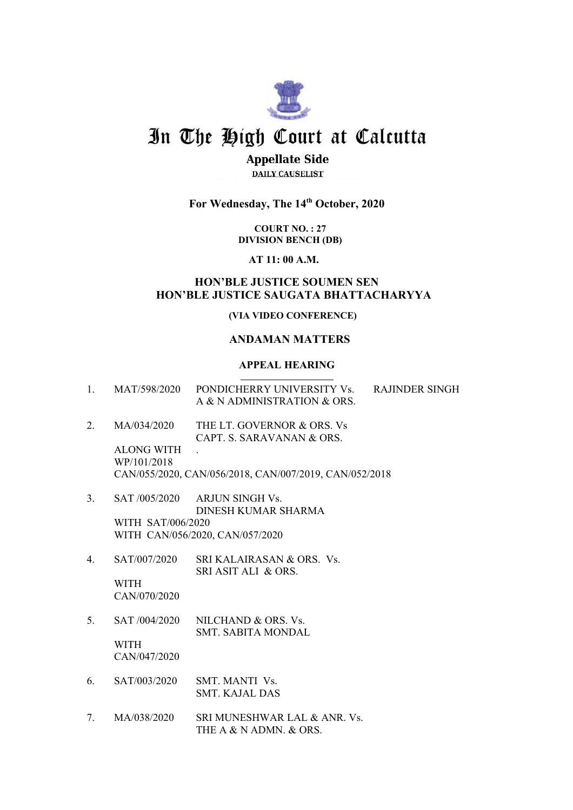

# In The High Court at Calcutta

# **Appellate Side**

**DAILY CAUSELIST** 

# **For Wednesday, The 14th October, 2020**

**COURT NO. : 27 DIVISION BENCH (DB)**

**AT 11: 00 A.M.**

## **HON'BLE JUSTICE SOUMEN SEN HON'BLE JUSTICE SAUGATA BHATTACHARYYA**

## **(VIA VIDEO CONFERENCE)**

## **ANDAMAN MATTERS**

## **APPEAL HEARING**

| 1.          |                                                 | MAT/598/2020 PONDICHERRY UNIVERSITY Vs.<br><b>RAJINDER SINGH</b><br>A & N ADMINISTRATION & ORS.                   |
|-------------|-------------------------------------------------|-------------------------------------------------------------------------------------------------------------------|
| 2.          | MA/034/2020<br><b>ALONG WITH</b><br>WP/101/2018 | THE LT. GOVERNOR & ORS. Vs<br>CAPT. S. SARAVANAN & ORS.<br>CAN/055/2020, CAN/056/2018, CAN/007/2019, CAN/052/2018 |
| 3.          | WITH SAT/006/2020                               | SAT /005/2020 ARJUN SINGH Vs.<br>DINESH KUMAR SHARMA<br>WITH CAN/056/2020, CAN/057/2020                           |
| $4_{\cdot}$ | SAT/007/2020<br><b>WITH</b><br>CAN/070/2020     | SRI KALAIRASAN & ORS. Vs.<br>SRI ASIT ALI & ORS.                                                                  |
| 5.          | <b>WITH</b><br>CAN/047/2020                     | SAT /004/2020 NILCHAND & ORS. Vs.<br><b>SMT. SABITA MONDAL</b>                                                    |
| 6.          | SAT/003/2020                                    | SMT MANTI Vs.<br><b>SMT. KAJAL DAS</b>                                                                            |
| 7.          | MA/038/2020                                     | SRI MUNESHWAR LAL & ANR. Vs.<br>THE A & N ADMN, & ORS.                                                            |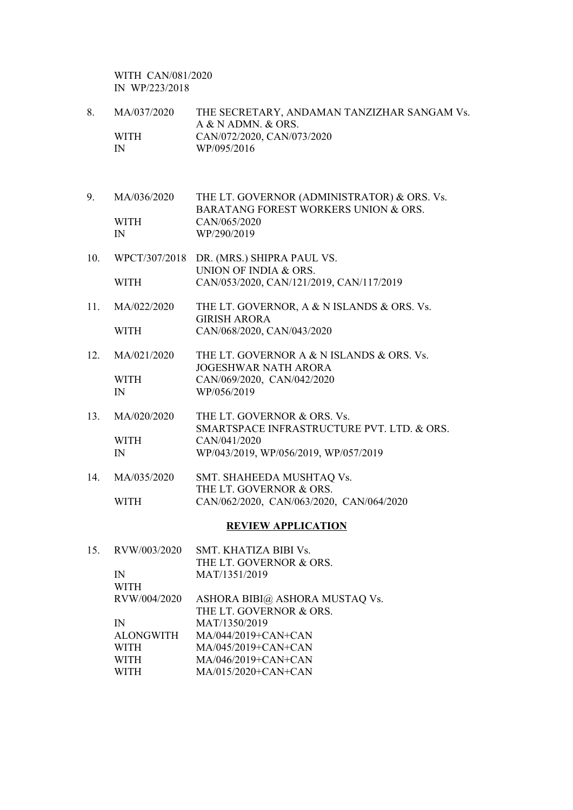WITH CAN/081/2020 IN WP/223/2018

| 8.  | MA/037/2020<br><b>WITH</b><br>$\mathbb{N}$ | THE SECRETARY, ANDAMAN TANZIZHAR SANGAM Vs.<br>A & N ADMN. & ORS.<br>CAN/072/2020, CAN/073/2020<br>WP/095/2016 |
|-----|--------------------------------------------|----------------------------------------------------------------------------------------------------------------|
| 9.  | MA/036/2020                                | THE LT. GOVERNOR (ADMINISTRATOR) & ORS. Vs.                                                                    |
|     | <b>WITH</b><br>$\mathbb{N}$                | <b>BARATANG FOREST WORKERS UNION &amp; ORS.</b><br>CAN/065/2020<br>WP/290/2019                                 |
| 10. | WPCT/307/2018                              | DR. (MRS.) SHIPRA PAUL VS.<br>UNION OF INDIA & ORS.                                                            |
|     | <b>WITH</b>                                | CAN/053/2020, CAN/121/2019, CAN/117/2019                                                                       |
| 11. | MA/022/2020                                | THE LT. GOVERNOR, A & N ISLANDS & ORS. Vs.<br><b>GIRISH ARORA</b>                                              |
|     | <b>WITH</b>                                | CAN/068/2020, CAN/043/2020                                                                                     |
| 12. | MA/021/2020                                | THE LT. GOVERNOR A & N ISLANDS & ORS. Vs.<br><b>JOGESHWAR NATH ARORA</b>                                       |
|     | <b>WITH</b><br>$\mathbb{N}$                | CAN/069/2020, CAN/042/2020<br>WP/056/2019                                                                      |
| 13. | MA/020/2020                                | THE LT. GOVERNOR & ORS. Vs.<br>SMARTSPACE INFRASTRUCTURE PVT. LTD. & ORS.                                      |
|     | <b>WITH</b><br>$\mathbb{N}$                | CAN/041/2020<br>WP/043/2019, WP/056/2019, WP/057/2019                                                          |
| 14. | MA/035/2020                                | SMT. SHAHEEDA MUSHTAQ Vs.<br>THE LT. GOVERNOR & ORS.                                                           |
|     | <b>WITH</b>                                | CAN/062/2020, CAN/063/2020, CAN/064/2020                                                                       |
|     |                                            | <b>REVIEW APPLICATION</b>                                                                                      |
| 15. | RVW/003/2020                               | SMT. KHATIZA BIBI Vs.                                                                                          |
|     | $\mathbb{N}$<br><b>WITH</b>                | THE LT. GOVERNOR & ORS.<br>MAT/1351/2019                                                                       |
|     | RVW/004/2020                               | ASHORA BIBI@ ASHORA MUSTAQ Vs.<br>THE LT. GOVERNOR & ORS.                                                      |
|     | $\mathbb{N}$                               | MAT/1350/2019                                                                                                  |
|     | <b>ALONGWITH</b>                           | MA/044/2019+CAN+CAN                                                                                            |
|     | <b>WITH</b>                                | MA/045/2019+CAN+CAN                                                                                            |

WITH MA/045/2019+CAN+CAN<br>WITH MA/046/2019+CAN+CAN<br>WITH MA/015/2020+CAN+CAN MA/015/2020+CAN+CAN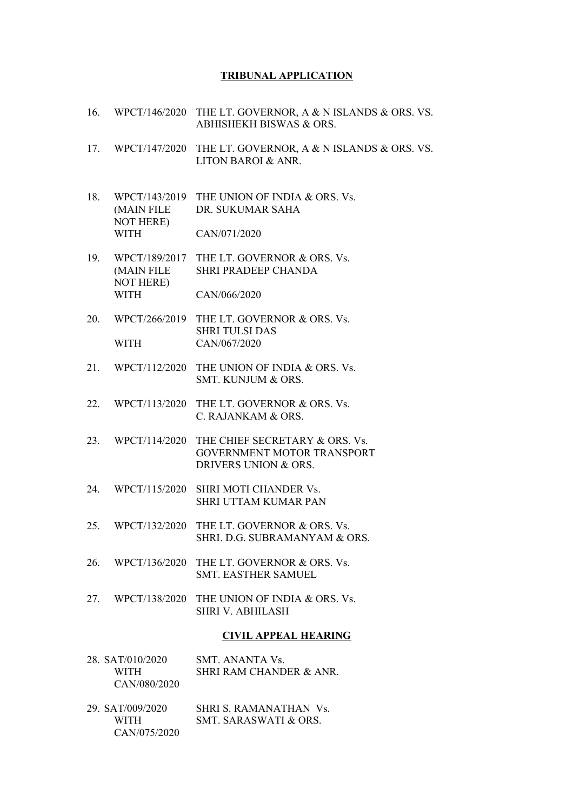## **TRIBUNAL APPLICATION**

- 16. WPCT/146/2020 THE LT. GOVERNOR, A & N ISLANDS & ORS. VS. ABHISHEKH BISWAS & ORS.
- 17. WPCT/147/2020 THE LT. GOVERNOR, A & N ISLANDS & ORS. VS. LITON BAROI & ANR.
- 18. WPCT/143/2019 THE UNION OF INDIA & ORS. Vs. (MAIN FILE DR. SUKUMAR SAHA NOT HERE) WITH CAN/071/2020
- 19. WPCT/189/2017 THE LT. GOVERNOR & ORS. Vs. (MAIN FILE SHRI PRADEEP CHANDA NOT HERE) WITH CAN/066/2020
- 20. WPCT/266/2019 THE LT. GOVERNOR & ORS. Vs. SHRI TULSI DAS WITH CAN/067/2020
- 21. WPCT/112/2020 THE UNION OF INDIA & ORS. Vs. SMT. KUNJUM & ORS.
- 22. WPCT/113/2020 THE LT. GOVERNOR & ORS. Vs. C. RAJANKAM & ORS.
- 23. WPCT/114/2020 THE CHIEF SECRETARY & ORS. Vs. GOVERNMENT MOTOR TRANSPORT DRIVERS UNION & ORS.
- 24. WPCT/115/2020 SHRI MOTI CHANDER Vs. SHRI UTTAM KUMAR PAN
- 25. WPCT/132/2020 THE LT. GOVERNOR & ORS. Vs. SHRI. D.G. SUBRAMANYAM & ORS.
- 26. WPCT/136/2020 THE LT. GOVERNOR & ORS. Vs. SMT. EASTHER SAMUEL
- 27. WPCT/138/2020 THE UNION OF INDIA & ORS. Vs. SHRI V. ABHILASH

## **CIVIL APPEAL HEARING**

| 28. SAT/010/2020 | SMT. ANANTA Vs.         |
|------------------|-------------------------|
| WITH             | SHRI RAM CHANDER & ANR. |
| CAN/080/2020     |                         |

29. SAT/009/2020 SHRI S. RAMANATHAN Vs. WITH SMT. SARASWATI & ORS. CAN/075/2020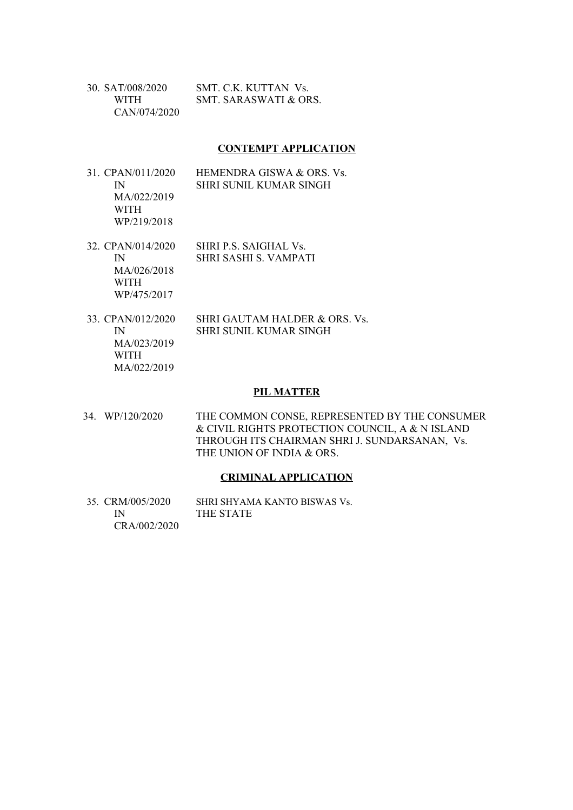| 30. SAT/008/2020 | SMT C.K. KUTTAN Vs.   |
|------------------|-----------------------|
| WITH <b>WITH</b> | SMT. SARASWATI & ORS. |
| CAN/074/2020     |                       |

## **CONTEMPT APPLICATION**

- 31. CPAN/011/2020 HEMENDRA GISWA & ORS. Vs. IN SHRI SUNIL KUMAR SINGH MA/022/2019 WITH WP/219/2018
- 32. CPAN/014/2020 SHRI P.S. SAIGHAL Vs. IN SHRI SASHI S. VAMPATI MA/026/2018

WITH WP/475/2017

33. CPAN/012/2020 SHRI GAUTAM HALDER & ORS. Vs. IN SHRI SUNIL KUMAR SINGH MA/023/2019 WITH MA/022/2019

#### **PIL MATTER**

34. WP/120/2020 THE COMMON CONSE, REPRESENTED BY THE CONSUMER & CIVIL RIGHTS PROTECTION COUNCIL, A & N ISLAND THROUGH ITS CHAIRMAN SHRI J. SUNDARSANAN, Vs. THE UNION OF INDIA & ORS.

#### **CRIMINAL APPLICATION**

35. CRM/005/2020 SHRI SHYAMA KANTO BISWAS Vs. IN THE STATE CRA/002/2020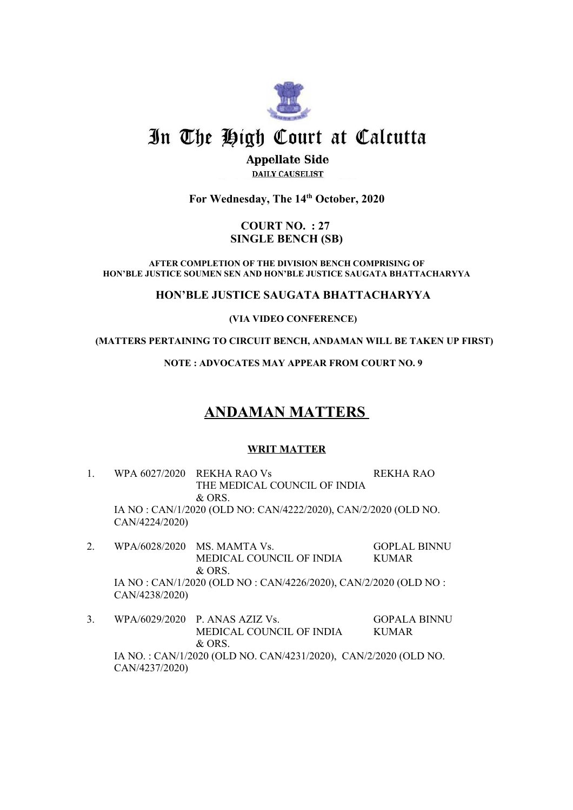

# In The High Court at Calcutta

## **Appellate Side DAILY CAUSELIST**

**For Wednesday, The 14th October, 2020**

## **COURT NO. : 27 SINGLE BENCH (SB)**

**AFTER COMPLETION OF THE DIVISION BENCH COMPRISING OF HON'BLE JUSTICE SOUMEN SEN AND HON'BLE JUSTICE SAUGATA BHATTACHARYYA**

**HON'BLE JUSTICE SAUGATA BHATTACHARYYA**

**(VIA VIDEO CONFERENCE)**

 **(MATTERS PERTAINING TO CIRCUIT BENCH, ANDAMAN WILL BE TAKEN UP FIRST)** 

**NOTE : ADVOCATES MAY APPEAR FROM COURT NO. 9**

# **ANDAMAN MATTERS**

## **WRIT MATTER**

- 1. WPA 6027/2020 REKHA RAO Vs REKHA RAO THE MEDICAL COUNCIL OF INDIA & ORS. IA NO : CAN/1/2020 (OLD NO: CAN/4222/2020), CAN/2/2020 (OLD NO. CAN/4224/2020)
- 2. WPA/6028/2020 MS. MAMTA Vs. GOPLAL BINNU MEDICAL COUNCIL OF INDIA KUMAR & ORS. IA NO : CAN/1/2020 (OLD NO : CAN/4226/2020), CAN/2/2020 (OLD NO : CAN/4238/2020)
- 3. WPA/6029/2020 P. ANAS AZIZ Vs. GOPALA BINNU MEDICAL COUNCIL OF INDIA KUMAR & ORS. IA NO. : CAN/1/2020 (OLD NO. CAN/4231/2020), CAN/2/2020 (OLD NO. CAN/4237/2020)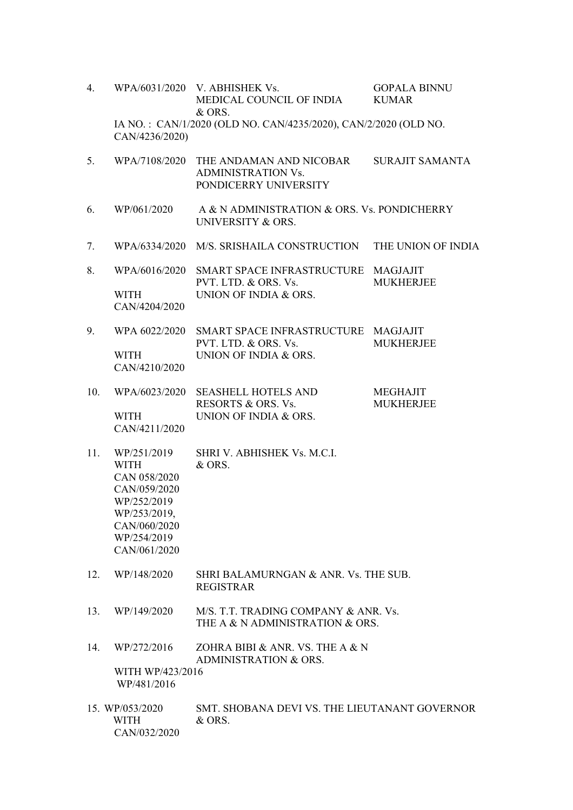| 4.  |                                                                                                                                          | WPA/6031/2020 V. ABHISHEK Vs.<br>MEDICAL COUNCIL OF INDIA<br>& ORS.           | <b>GOPALA BINNU</b><br><b>KUMAR</b> |  |  |
|-----|------------------------------------------------------------------------------------------------------------------------------------------|-------------------------------------------------------------------------------|-------------------------------------|--|--|
|     | IA NO.: CAN/1/2020 (OLD NO. CAN/4235/2020), CAN/2/2020 (OLD NO.<br>CAN/4236/2020)                                                        |                                                                               |                                     |  |  |
| 5.  | WPA/7108/2020                                                                                                                            | THE ANDAMAN AND NICOBAR<br><b>ADMINISTRATION Vs.</b><br>PONDICERRY UNIVERSITY | <b>SURAJIT SAMANTA</b>              |  |  |
| 6.  | WP/061/2020                                                                                                                              | A & N ADMINISTRATION & ORS. Vs. PONDICHERRY<br>UNIVERSITY & ORS.              |                                     |  |  |
| 7.  |                                                                                                                                          | WPA/6334/2020 M/S. SRISHAILA CONSTRUCTION                                     | THE UNION OF INDIA                  |  |  |
| 8.  |                                                                                                                                          | WPA/6016/2020 SMART SPACE INFRASTRUCTURE MAGJAJIT<br>PVT. LTD. & ORS. Vs.     | <b>MUKHERJEE</b>                    |  |  |
|     | WITH<br>CAN/4204/2020                                                                                                                    | UNION OF INDIA & ORS.                                                         |                                     |  |  |
| 9.  | WPA 6022/2020                                                                                                                            | SMART SPACE INFRASTRUCTURE MAGJAJIT<br>PVT. LTD. & ORS. Vs.                   | <b>MUKHERJEE</b>                    |  |  |
|     | WITH<br>CAN/4210/2020                                                                                                                    | UNION OF INDIA & ORS.                                                         |                                     |  |  |
| 10. | WPA/6023/2020                                                                                                                            | <b>SEASHELL HOTELS AND</b><br>RESORTS & ORS. Vs.                              | <b>MEGHAJIT</b><br><b>MUKHERJEE</b> |  |  |
|     | WITH<br>CAN/4211/2020                                                                                                                    | UNION OF INDIA & ORS.                                                         |                                     |  |  |
| 11. | WP/251/2019<br><b>WITH</b><br>CAN 058/2020<br>CAN/059/2020<br>WP/252/2019<br>WP/253/2019,<br>CAN/060/2020<br>WP/254/2019<br>CAN/061/2020 | SHRI V. ABHISHEK Vs. M.C.I.<br>& ORS.                                         |                                     |  |  |
| 12. | WP/148/2020                                                                                                                              | SHRI BALAMURNGAN & ANR. Vs. THE SUB.<br><b>REGISTRAR</b>                      |                                     |  |  |
| 13. | WP/149/2020                                                                                                                              | M/S. T.T. TRADING COMPANY & ANR. Vs.<br>THE A & N ADMINISTRATION & ORS.       |                                     |  |  |
| 14. | WP/272/2016                                                                                                                              | ZOHRA BIBI & ANR. VS. THE A & N<br><b>ADMINISTRATION &amp; ORS.</b>           |                                     |  |  |
|     | WITH WP/423/2016<br>WP/481/2016                                                                                                          |                                                                               |                                     |  |  |
|     | 15. WP/053/2020<br><b>WITH</b><br>CAN/032/2020                                                                                           | SMT. SHOBANA DEVI VS. THE LIEUTANANT GOVERNOR<br>& ORS.                       |                                     |  |  |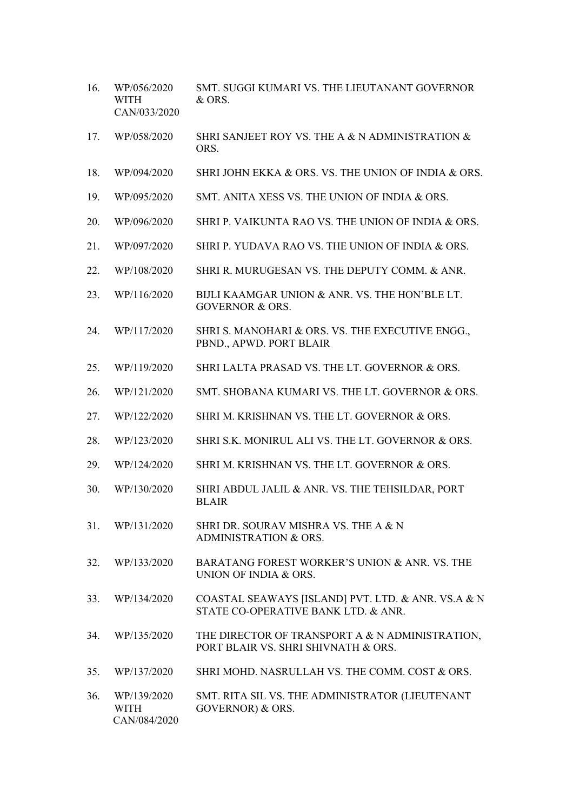- 16. WP/056/2020 SMT. SUGGI KUMARI VS. THE LIEUTANANT GOVERNOR WITH & ORS. CAN/033/2020
- 17. WP/058/2020 SHRI SANJEET ROY VS. THE A & N ADMINISTRATION & ORS.
- 18. WP/094/2020 SHRI JOHN EKKA & ORS. VS. THE UNION OF INDIA & ORS.
- 19. WP/095/2020 SMT. ANITA XESS VS. THE UNION OF INDIA & ORS.
- 20. WP/096/2020 SHRI P. VAIKUNTA RAO VS. THE UNION OF INDIA & ORS.
- 21. WP/097/2020 SHRI P. YUDAVA RAO VS. THE UNION OF INDIA & ORS.
- 22. WP/108/2020 SHRI R. MURUGESAN VS. THE DEPUTY COMM. & ANR.
- 23. WP/116/2020 BIJLI KAAMGAR UNION & ANR. VS. THE HON'BLE LT. GOVERNOR & ORS.
- 24. WP/117/2020 SHRI S. MANOHARI & ORS. VS. THE EXECUTIVE ENGG., PBND., APWD. PORT BLAIR
- 25. WP/119/2020 SHRI LALTA PRASAD VS. THE LT. GOVERNOR & ORS.
- 26. WP/121/2020 SMT. SHOBANA KUMARI VS. THE LT. GOVERNOR & ORS.
- 27. WP/122/2020 SHRI M. KRISHNAN VS. THE LT. GOVERNOR & ORS.
- 28. WP/123/2020 SHRI S.K. MONIRUL ALI VS. THE LT. GOVERNOR & ORS.
- 29. WP/124/2020 SHRI M. KRISHNAN VS. THE LT. GOVERNOR & ORS.
- 30. WP/130/2020 SHRI ABDUL JALIL & ANR. VS. THE TEHSILDAR, PORT BLAIR
- 31. WP/131/2020 SHRI DR. SOURAV MISHRA VS. THE A & N ADMINISTRATION & ORS.
- 32. WP/133/2020 BARATANG FOREST WORKER'S UNION & ANR. VS. THE UNION OF INDIA & ORS.
- 33. WP/134/2020 COASTAL SEAWAYS [ISLAND] PVT. LTD. & ANR. VS.A & N STATE CO-OPERATIVE BANK LTD. & ANR.
- 34. WP/135/2020 THE DIRECTOR OF TRANSPORT A & N ADMINISTRATION, PORT BLAIR VS. SHRI SHIVNATH & ORS.
- 35. WP/137/2020 SHRI MOHD. NASRULLAH VS. THE COMM. COST & ORS.
- 36. WP/139/2020 SMT. RITA SIL VS. THE ADMINISTRATOR (LIEUTENANT WITH GOVERNOR) & ORS. CAN/084/2020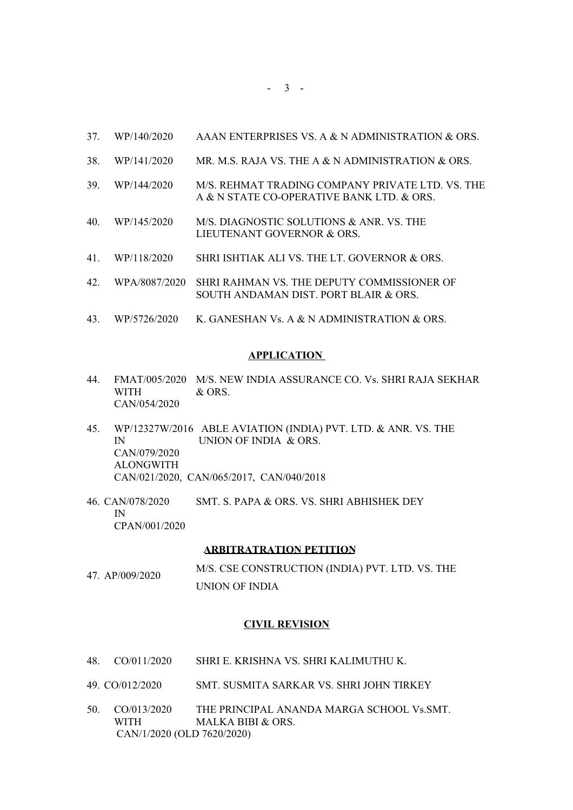- 37. WP/140/2020 AAAN ENTERPRISES VS. A & N ADMINISTRATION & ORS.
- 38. WP/141/2020 MR. M.S. RAJA VS. THE A & N ADMINISTRATION & ORS.
- 39. WP/144/2020 M/S. REHMAT TRADING COMPANY PRIVATE LTD. VS. THE A & N STATE CO-OPERATIVE BANK LTD. & ORS.
- 40. WP/145/2020 M/S. DIAGNOSTIC SOLUTIONS & ANR. VS. THE LIEUTENANT GOVERNOR & ORS.
- 41. WP/118/2020 SHRI ISHTIAK ALI VS. THE LT. GOVERNOR & ORS.
- 42. WPA/8087/2020 SHRI RAHMAN VS. THE DEPUTY COMMISSIONER OF SOUTH ANDAMAN DIST. PORT BLAIR & ORS.
- 43. WP/5726/2020 K. GANESHAN Vs. A & N ADMINISTRATION & ORS.

## **APPLICATION**

- 44. FMAT/005/2020 M/S. NEW INDIA ASSURANCE CO. Vs. SHRI RAJA SEKHAR WITH & ORS. CAN/054/2020
- 45. WP/12327W/2016 ABLE AVIATION (INDIA) PVT. LTD. & ANR. VS. THE IN UNION OF INDIA & ORS. CAN/079/2020 ALONGWITH CAN/021/2020, CAN/065/2017, CAN/040/2018
- 46. CAN/078/2020 SMT. S. PAPA & ORS. VS. SHRI ABHISHEK DEY IN CPAN/001/2020

#### **ARBITRATRATION PETITION**

47. AP/009/2020 M/S. CSE CONSTRUCTION (INDIA) PVT. LTD. VS. THE UNION OF INDIA

#### **CIVIL REVISION**

- 48. CO/011/2020 SHRI E. KRISHNA VS. SHRI KALIMUTHU K.
- 49. CO/012/2020 SMT. SUSMITA SARKAR VS. SHRI JOHN TIRKEY
- 50. CO/013/2020 THE PRINCIPAL ANANDA MARGA SCHOOL Vs.SMT. WITH MALKA BIBI & ORS. CAN/1/2020 (OLD 7620/2020)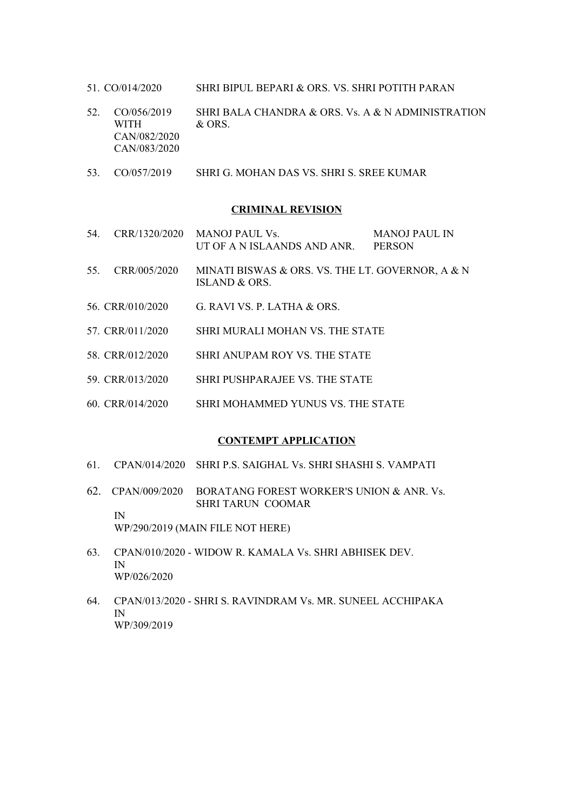- 51. CO/014/2020 SHRI BIPUL BEPARI & ORS. VS. SHRI POTITH PARAN
- 52. CO/056/2019 SHRI BALA CHANDRA & ORS. Vs. A & N ADMINISTRATION WITH & ORS. CAN/082/2020 CAN/083/2020
- 53. CO/057/2019 SHRI G. MOHAN DAS VS. SHRI S. SREE KUMAR

## **CRIMINAL REVISION**

- 54. CRR/1320/2020 MANOJ PAUL Vs. MANOJ PAUL IN UT OF A N ISLAANDS AND ANR. PERSON
- 55. CRR/005/2020 MINATI BISWAS & ORS. VS. THE LT. GOVERNOR, A & N ISLAND & ORS.
- 56. CRR/010/2020 G. RAVI VS. P. LATHA & ORS.
- 57. CRR/011/2020 SHRI MURALI MOHAN VS. THE STATE
- 58. CRR/012/2020 SHRI ANUPAM ROY VS. THE STATE
- 59. CRR/013/2020 SHRI PUSHPARAJEE VS. THE STATE
- 60. CRR/014/2020 SHRI MOHAMMED YUNUS VS. THE STATE

#### **CONTEMPT APPLICATION**

- 61. CPAN/014/2020 SHRI P.S. SAIGHAL Vs. SHRI SHASHI S. VAMPATI
- 62. CPAN/009/2020 BORATANG FOREST WORKER'S UNION & ANR. Vs. SHRI TARUN COOMAR IN

WP/290/2019 (MAIN FILE NOT HERE)

- 63. CPAN/010/2020 WIDOW R. KAMALA Vs. SHRI ABHISEK DEV. IN WP/026/2020
- 64. CPAN/013/2020 SHRI S. RAVINDRAM Vs. MR. SUNEEL ACCHIPAKA IN WP/309/2019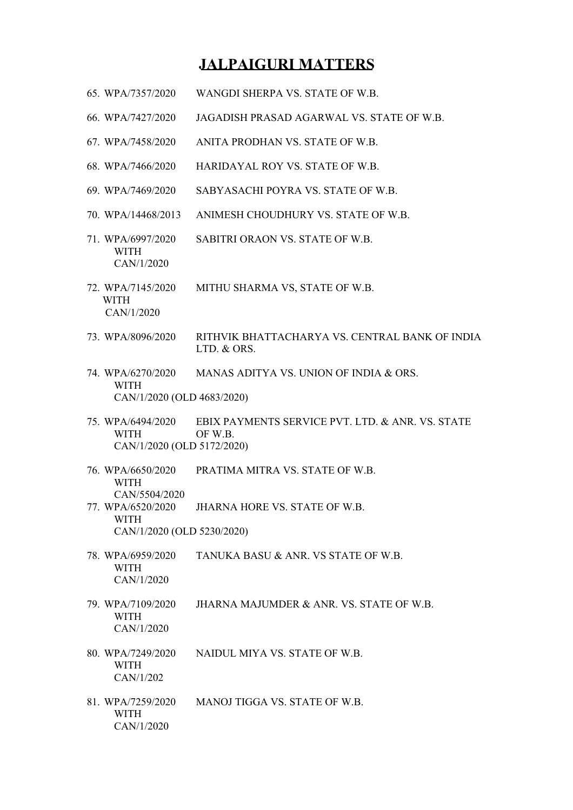## **JALPAIGURI MATTERS**

- 65. WPA/7357/2020 WANGDI SHERPA VS. STATE OF W.B.
- 66. WPA/7427/2020 JAGADISH PRASAD AGARWAL VS. STATE OF W.B.
- 67. WPA/7458/2020 ANITA PRODHAN VS. STATE OF W.B.
- 68. WPA/7466/2020 HARIDAYAL ROY VS. STATE OF W.B.
- 69. WPA/7469/2020 SABYASACHI POYRA VS. STATE OF W.B.
- 70. WPA/14468/2013 ANIMESH CHOUDHURY VS. STATE OF W.B.
- 71. WPA/6997/2020 SABITRI ORAON VS. STATE OF W.B. WITH CAN/1/2020
- 72. WPA/7145/2020 MITHU SHARMA VS, STATE OF W.B. WITH CAN/1/2020
- 73. WPA/8096/2020 RITHVIK BHATTACHARYA VS. CENTRAL BANK OF INDIA LTD. & ORS.
- 74. WPA/6270/2020 MANAS ADITYA VS. UNION OF INDIA & ORS. WITH CAN/1/2020 (OLD 4683/2020)
- 75. WPA/6494/2020 EBIX PAYMENTS SERVICE PVT. LTD. & ANR. VS. STATE WITH OF W.B. CAN/1/2020 (OLD 5172/2020)
- 76. WPA/6650/2020 PRATIMA MITRA VS. STATE OF W.B. WITH CAN/5504/2020
- 77. WPA/6520/2020 JHARNA HORE VS. STATE OF W.B. WITH CAN/1/2020 (OLD 5230/2020)
- 78. WPA/6959/2020 TANUKA BASU & ANR. VS STATE OF W.B. WITH CAN/1/2020
- 79. WPA/7109/2020 JHARNA MAJUMDER & ANR. VS. STATE OF W.B. WITH CAN/1/2020
- 80. WPA/7249/2020 NAIDUL MIYA VS. STATE OF W.B. WITH CAN/1/202
- 81. WPA/7259/2020 MANOJ TIGGA VS. STATE OF W.B. WITH CAN/1/2020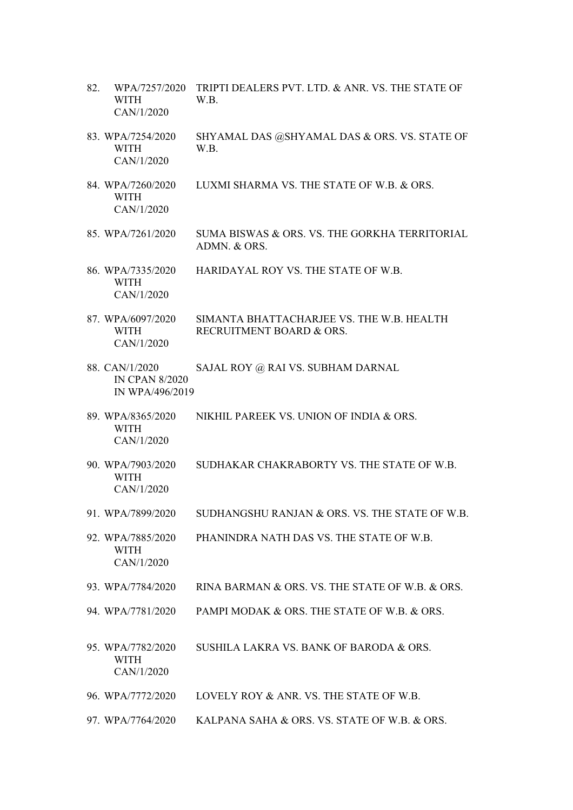- 82. WPA/7257/2020 TRIPTI DEALERS PVT. LTD. & ANR. VS. THE STATE OF WITH W.B. CAN/1/2020
- 83. WPA/7254/2020 SHYAMAL DAS @SHYAMAL DAS & ORS. VS. STATE OF WITH W.B. CAN/1/2020
- 84. WPA/7260/2020 LUXMI SHARMA VS. THE STATE OF W.B. & ORS. WITH CAN/1/2020
- 85. WPA/7261/2020 SUMA BISWAS & ORS. VS. THE GORKHA TERRITORIAL ADMN. & ORS.
- 86. WPA/7335/2020 HARIDAYAL ROY VS. THE STATE OF W.B. WITH CAN/1/2020
- 87. WPA/6097/2020 SIMANTA BHATTACHARJEE VS. THE W.B. HEALTH WITH RECRUITMENT BOARD & ORS. CAN/1/2020
- 88. CAN/1/2020 SAJAL ROY @ RAI VS. SUBHAM DARNAL IN CPAN 8/2020 IN WPA/496/2019
- 89. WPA/8365/2020 NIKHIL PAREEK VS. UNION OF INDIA & ORS. WITH CAN/1/2020
- 90. WPA/7903/2020 SUDHAKAR CHAKRABORTY VS. THE STATE OF W.B. WITH CAN/1/2020
- 91. WPA/7899/2020 SUDHANGSHU RANJAN & ORS. VS. THE STATE OF W.B.
- 92. WPA/7885/2020 PHANINDRA NATH DAS VS. THE STATE OF W.B. WITH CAN/1/2020
- 93. WPA/7784/2020 RINA BARMAN & ORS. VS. THE STATE OF W.B. & ORS.
- 94. WPA/7781/2020 PAMPI MODAK & ORS. THE STATE OF W.B. & ORS.
- 95. WPA/7782/2020 SUSHILA LAKRA VS. BANK OF BARODA & ORS. WITH CAN/1/2020
- 96. WPA/7772/2020 LOVELY ROY & ANR. VS. THE STATE OF W.B.
- 97. WPA/7764/2020 KALPANA SAHA & ORS. VS. STATE OF W.B. & ORS.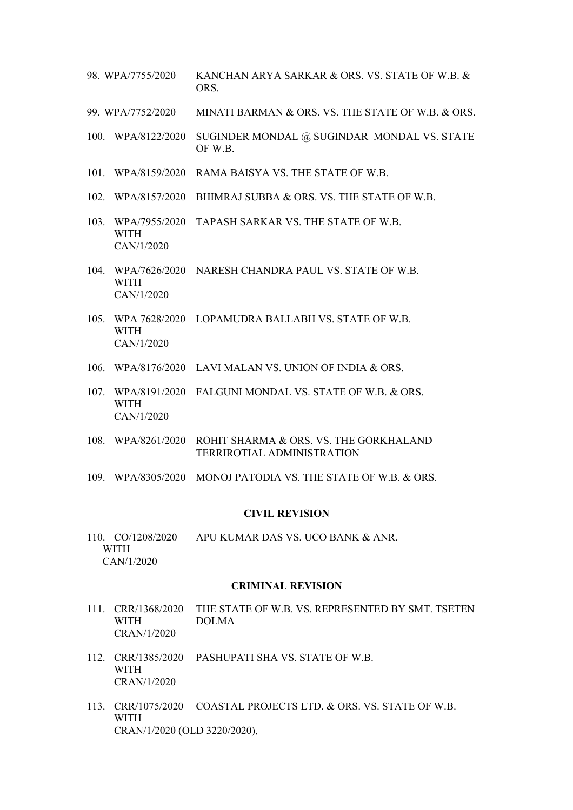- 98. WPA/7755/2020 KANCHAN ARYA SARKAR & ORS. VS. STATE OF W.B. & ORS.
- 99. WPA/7752/2020 MINATI BARMAN & ORS. VS. THE STATE OF W.B. & ORS.
- 100. WPA/8122/2020 SUGINDER MONDAL @ SUGINDAR MONDAL VS. STATE OF W.B.
- 101. WPA/8159/2020 RAMA BAISYA VS. THE STATE OF W.B.
- 102. WPA/8157/2020 BHIMRAJ SUBBA & ORS. VS. THE STATE OF W.B.
- 103. WPA/7955/2020 TAPASH SARKAR VS. THE STATE OF W.B. WITH CAN/1/2020
- 104. WPA/7626/2020 NARESH CHANDRA PAUL VS. STATE OF W.B. WITH CAN/1/2020
- 105. WPA 7628/2020 LOPAMUDRA BALLABH VS. STATE OF W.B. WITH CAN/1/2020
- 106. WPA/8176/2020 LAVI MALAN VS. UNION OF INDIA & ORS.
- 107. WPA/8191/2020 FALGUNI MONDAL VS. STATE OF W.B. & ORS. WITH CAN/1/2020
- 108. WPA/8261/2020 ROHIT SHARMA & ORS. VS. THE GORKHALAND TERRIROTIAL ADMINISTRATION
- 109. WPA/8305/2020 MONOJ PATODIA VS. THE STATE OF W.B. & ORS.

#### **CIVIL REVISION**

110. CO/1208/2020 APU KUMAR DAS VS. UCO BANK & ANR. WITH CAN/1/2020

## **CRIMINAL REVISION**

- 111. CRR/1368/2020 THE STATE OF W.B. VS. REPRESENTED BY SMT. TSETEN WITH DOLMA CRAN/1/2020
- 112. CRR/1385/2020 PASHUPATI SHA VS. STATE OF W.B. WITH CRAN/1/2020
- 113. CRR/1075/2020 COASTAL PROJECTS LTD. & ORS. VS. STATE OF W.B. WITH CRAN/1/2020 (OLD 3220/2020),